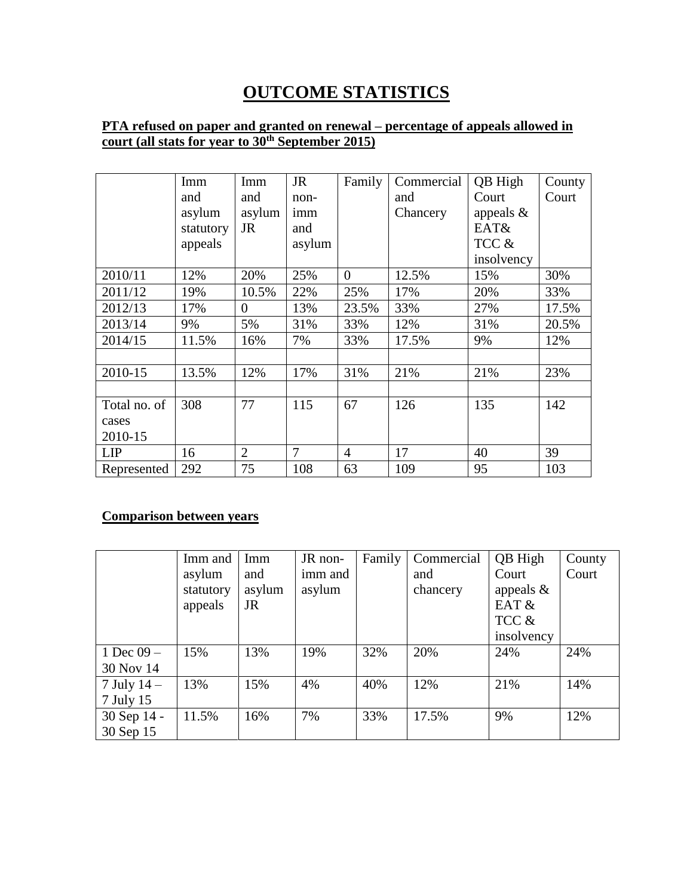# **OUTCOME STATISTICS**

## **PTA refused on paper and granted on renewal – percentage of appeals allowed in court (all stats for year to 30th September 2015)**

|              | Imm       | Imm            | <b>JR</b> | Family         | Commercial | QB High      | County |
|--------------|-----------|----------------|-----------|----------------|------------|--------------|--------|
|              | and       | and            | non-      |                | and        | Court        | Court  |
|              | asylum    | asylum         | imm       |                | Chancery   | appeals $\&$ |        |
|              | statutory | JR             | and       |                |            | EAT&         |        |
|              | appeals   |                | asylum    |                |            | TCC &        |        |
|              |           |                |           |                |            | insolvency   |        |
| 2010/11      | 12%       | 20%            | 25%       | $\overline{0}$ | 12.5%      | 15%          | 30%    |
| 2011/12      | 19%       | 10.5%          | 22%       | 25%            | 17%        | 20%          | 33%    |
| 2012/13      | 17%       | $\overline{0}$ | 13%       | 23.5%          | 33%        | 27%          | 17.5%  |
| 2013/14      | 9%        | 5%             | 31%       | 33%            | 12%        | 31%          | 20.5%  |
| 2014/15      | 11.5%     | 16%            | 7%        | 33%            | 17.5%      | 9%           | 12%    |
|              |           |                |           |                |            |              |        |
| 2010-15      | 13.5%     | 12%            | 17%       | 31%            | 21%        | 21%          | 23%    |
|              |           |                |           |                |            |              |        |
| Total no. of | 308       | 77             | 115       | 67             | 126        | 135          | 142    |
| cases        |           |                |           |                |            |              |        |
| 2010-15      |           |                |           |                |            |              |        |
| LIP          | 16        | $\overline{2}$ | 7         | $\overline{4}$ | 17         | 40           | 39     |
| Represented  | 292       | 75             | 108       | 63             | 109        | 95           | 103    |

# **Comparison between years**

|              | Imm and<br>asylum<br>statutory<br>appeals | Imm<br>and<br>asylum<br>JR | JR non-<br>imm and<br>asylum | Family | Commercial<br>and<br>chancery | QB High<br>Court<br>appeals $\&$<br>EAT &<br>TCC & | County<br>Court |
|--------------|-------------------------------------------|----------------------------|------------------------------|--------|-------------------------------|----------------------------------------------------|-----------------|
|              |                                           |                            |                              |        |                               | insolvency                                         |                 |
| 1 Dec $09 -$ | 15%                                       | 13%                        | 19%                          | 32%    | 20%                           | 24%                                                | 24%             |
| 30 Nov 14    |                                           |                            |                              |        |                               |                                                    |                 |
| 7 July $14-$ | 13%                                       | 15%                        | 4%                           | 40%    | 12%                           | 21%                                                | 14%             |
| 7 July 15    |                                           |                            |                              |        |                               |                                                    |                 |
| 30 Sep 14 -  | 11.5%                                     | 16%                        | 7%                           | 33%    | 17.5%                         | 9%                                                 | 12%             |
| 30 Sep 15    |                                           |                            |                              |        |                               |                                                    |                 |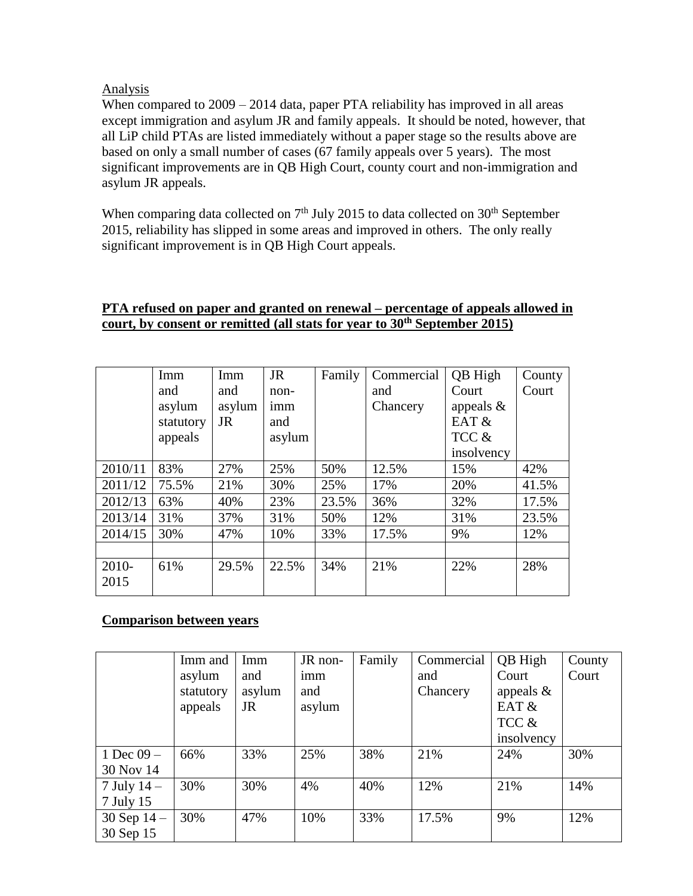#### Analysis

When compared to  $2009 - 2014$  data, paper PTA reliability has improved in all areas except immigration and asylum JR and family appeals. It should be noted, however, that all LiP child PTAs are listed immediately without a paper stage so the results above are based on only a small number of cases (67 family appeals over 5 years). The most significant improvements are in QB High Court, county court and non-immigration and asylum JR appeals.

When comparing data collected on  $7<sup>th</sup>$  July 2015 to data collected on  $30<sup>th</sup>$  September 2015, reliability has slipped in some areas and improved in others. The only really significant improvement is in QB High Court appeals.

#### **PTA refused on paper and granted on renewal – percentage of appeals allowed in court, by consent or remitted (all stats for year to 30th September 2015)**

|         | Imm       | Imm       | <b>JR</b> | Family | Commercial | QB High      | County |
|---------|-----------|-----------|-----------|--------|------------|--------------|--------|
|         | and       | and       | non-      |        | and        | Court        | Court  |
|         | asylum    | asylum    | imm       |        | Chancery   | appeals $\&$ |        |
|         | statutory | <b>JR</b> | and       |        |            | EAT $&$      |        |
|         | appeals   |           | asylum    |        |            | TCC &        |        |
|         |           |           |           |        |            | insolvency   |        |
| 2010/11 | 83%       | 27%       | 25%       | 50%    | 12.5%      | 15%          | 42%    |
| 2011/12 | 75.5%     | 21%       | 30%       | 25%    | 17%        | 20%          | 41.5%  |
| 2012/13 | 63%       | 40%       | 23%       | 23.5%  | 36%        | 32%          | 17.5%  |
| 2013/14 | 31%       | 37%       | 31%       | 50%    | 12%        | 31%          | 23.5%  |
| 2014/15 | 30%       | 47%       | 10%       | 33%    | 17.5%      | 9%           | 12%    |
|         |           |           |           |        |            |              |        |
| 2010-   | 61%       | 29.5%     | 22.5%     | 34%    | 21%        | 22%          | 28%    |
| 2015    |           |           |           |        |            |              |        |

## **Comparison between years**

|               | Imm and   | Imm       | JR non- | Family | Commercial | QB High      | County |
|---------------|-----------|-----------|---------|--------|------------|--------------|--------|
|               | asylum    | and       | imm     |        | and        | Court        | Court  |
|               | statutory | asylum    | and     |        | Chancery   | appeals $\&$ |        |
|               | appeals   | <b>JR</b> | asylum  |        |            | EAT &        |        |
|               |           |           |         |        |            | TCC &        |        |
|               |           |           |         |        |            | insolvency   |        |
| 1 Dec $09-$   | 66%       | 33%       | 25%     | 38%    | 21%        | 24%          | 30%    |
| 30 Nov 14     |           |           |         |        |            |              |        |
| 7 July $14$ – | 30%       | 30%       | 4%      | 40%    | 12%        | 21%          | 14%    |
| 7 July 15     |           |           |         |        |            |              |        |
| 30 Sep $14 -$ | 30%       | 47%       | 10%     | 33%    | 17.5%      | 9%           | 12%    |
| 30 Sep 15     |           |           |         |        |            |              |        |